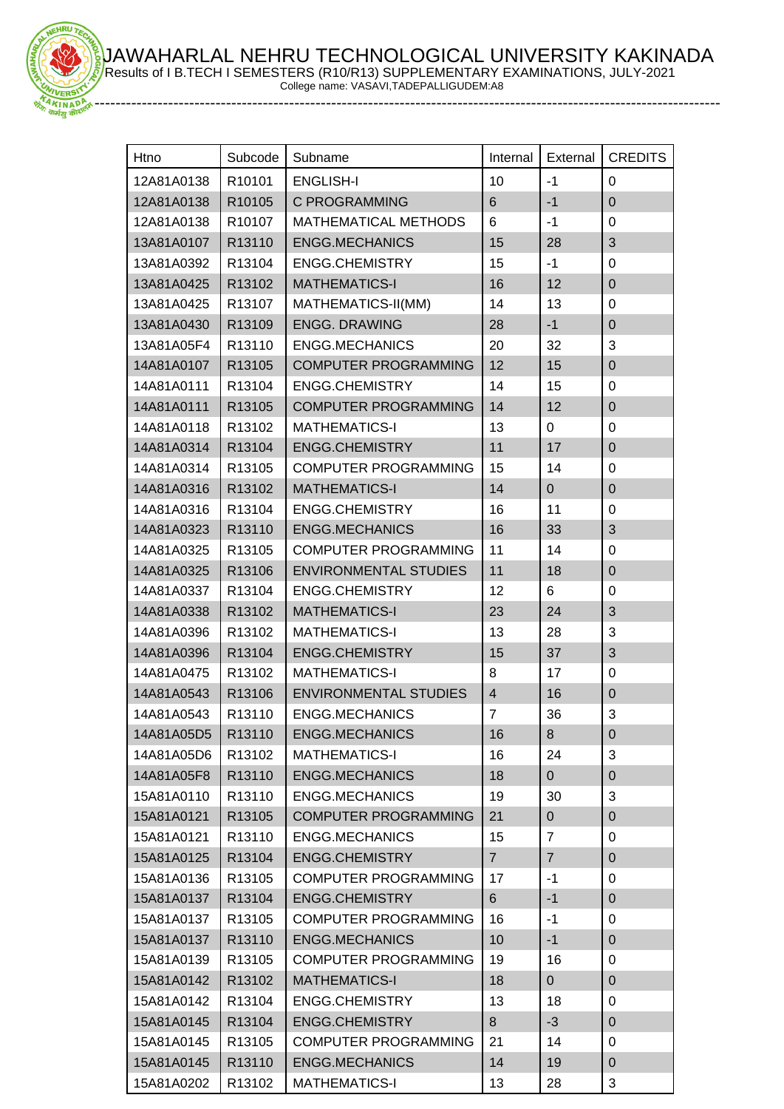JAWAHARLAL NEHRU TECHNOLOGICAL UNIVERSITY KAKINADA Results of I B.TECH I SEMESTERS (R10/R13) SUPPLEMENTARY EXAMINATIONS, JULY-2021 College name: VASAVI,TADEPALLIGUDEM:A8

-----------------------------------------------------------------------------------------------------------------------

HRU

| Htno       | Subcode | Subname                      | Internal       | External       | <b>CREDITS</b>            |
|------------|---------|------------------------------|----------------|----------------|---------------------------|
| 12A81A0138 | R10101  | <b>ENGLISH-I</b>             | 10             | $-1$           | $\mathbf 0$               |
| 12A81A0138 | R10105  | C PROGRAMMING                | $6\phantom{1}$ | $-1$           | $\mathbf 0$               |
| 12A81A0138 | R10107  | <b>MATHEMATICAL METHODS</b>  | 6              | $-1$           | 0                         |
| 13A81A0107 | R13110  | <b>ENGG.MECHANICS</b>        | 15             | 28             | 3                         |
| 13A81A0392 | R13104  | <b>ENGG.CHEMISTRY</b>        | 15             | $-1$           | 0                         |
| 13A81A0425 | R13102  | <b>MATHEMATICS-I</b>         | 16             | 12             | $\mathbf 0$               |
| 13A81A0425 | R13107  | MATHEMATICS-II(MM)           | 14             | 13             | $\mathbf 0$               |
| 13A81A0430 | R13109  | <b>ENGG. DRAWING</b>         | 28             | $-1$           | $\mathbf 0$               |
| 13A81A05F4 | R13110  | <b>ENGG.MECHANICS</b>        | 20             | 32             | 3                         |
| 14A81A0107 | R13105  | <b>COMPUTER PROGRAMMING</b>  | 12             | 15             | $\mathbf 0$               |
| 14A81A0111 | R13104  | <b>ENGG.CHEMISTRY</b>        | 14             | 15             | $\mathbf 0$               |
| 14A81A0111 | R13105  | <b>COMPUTER PROGRAMMING</b>  | 14             | 12             | $\mathbf 0$               |
| 14A81A0118 | R13102  | <b>MATHEMATICS-I</b>         | 13             | 0              | 0                         |
| 14A81A0314 | R13104  | <b>ENGG.CHEMISTRY</b>        | 11             | 17             | $\mathbf 0$               |
| 14A81A0314 | R13105  | <b>COMPUTER PROGRAMMING</b>  | 15             | 14             | $\mathbf 0$               |
| 14A81A0316 | R13102  | <b>MATHEMATICS-I</b>         | 14             | $\overline{0}$ | $\mathbf 0$               |
| 14A81A0316 | R13104  | <b>ENGG.CHEMISTRY</b>        | 16             | 11             | $\mathbf 0$               |
| 14A81A0323 | R13110  | <b>ENGG.MECHANICS</b>        | 16             | 33             | 3                         |
| 14A81A0325 | R13105  | <b>COMPUTER PROGRAMMING</b>  | 11             | 14             | $\mathbf 0$               |
| 14A81A0325 | R13106  | <b>ENVIRONMENTAL STUDIES</b> | 11             | 18             | $\mathbf 0$               |
| 14A81A0337 | R13104  | <b>ENGG.CHEMISTRY</b>        | 12             | 6              | 0                         |
| 14A81A0338 | R13102  | <b>MATHEMATICS-I</b>         | 23             | 24             | 3                         |
| 14A81A0396 | R13102  | <b>MATHEMATICS-I</b>         | 13             | 28             | 3                         |
| 14A81A0396 | R13104  | <b>ENGG.CHEMISTRY</b>        | 15             | 37             | 3                         |
| 14A81A0475 | R13102  | <b>MATHEMATICS-I</b>         | 8              | 17             | $\mathbf 0$               |
| 14A81A0543 | R13106  | <b>ENVIRONMENTAL STUDIES</b> | $\overline{4}$ | 16             | $\mathbf 0$               |
| 14A81A0543 | R13110  | <b>ENGG.MECHANICS</b>        | $\overline{7}$ | 36             | 3                         |
| 14A81A05D5 | R13110  | <b>ENGG.MECHANICS</b>        | 16             | 8              | $\pmb{0}$                 |
| 14A81A05D6 | R13102  | <b>MATHEMATICS-I</b>         | 16             | 24             | 3                         |
| 14A81A05F8 | R13110  | <b>ENGG.MECHANICS</b>        | 18             | $\mathbf{0}$   | $\pmb{0}$                 |
| 15A81A0110 | R13110  | <b>ENGG.MECHANICS</b>        | 19             | 30             | 3                         |
| 15A81A0121 | R13105  | <b>COMPUTER PROGRAMMING</b>  | 21             | $\mathbf{0}$   | $\pmb{0}$                 |
| 15A81A0121 | R13110  | ENGG.MECHANICS               | 15             | 7              | $\mathbf 0$               |
| 15A81A0125 | R13104  | <b>ENGG.CHEMISTRY</b>        | $\overline{7}$ | $\overline{7}$ | $\pmb{0}$                 |
| 15A81A0136 | R13105  | <b>COMPUTER PROGRAMMING</b>  | 17             | $-1$           | 0                         |
| 15A81A0137 | R13104  | <b>ENGG.CHEMISTRY</b>        | 6              | $-1$           | $\mathbf 0$               |
| 15A81A0137 | R13105  | <b>COMPUTER PROGRAMMING</b>  | 16             | -1             | $\pmb{0}$                 |
| 15A81A0137 | R13110  | <b>ENGG.MECHANICS</b>        | 10             | $-1$           | $\pmb{0}$                 |
| 15A81A0139 | R13105  | <b>COMPUTER PROGRAMMING</b>  | 19             | 16             | 0                         |
| 15A81A0142 | R13102  | <b>MATHEMATICS-I</b>         | 18             | $\mathbf{0}$   | $\mathbf 0$               |
| 15A81A0142 | R13104  | <b>ENGG.CHEMISTRY</b>        | 13             | 18             | $\mathbf 0$               |
| 15A81A0145 | R13104  | <b>ENGG.CHEMISTRY</b>        | 8              | $-3$           | $\pmb{0}$                 |
| 15A81A0145 | R13105  | <b>COMPUTER PROGRAMMING</b>  | 21             | 14             | 0                         |
| 15A81A0145 | R13110  | <b>ENGG.MECHANICS</b>        | 14             | 19             | $\pmb{0}$                 |
| 15A81A0202 | R13102  | <b>MATHEMATICS-I</b>         | 13             | 28             | $\ensuremath{\mathsf{3}}$ |